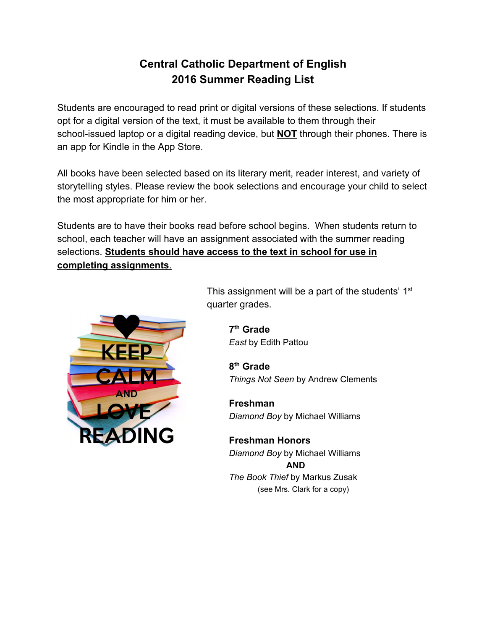# **Central Catholic Department of English 2016 Summer Reading List**

Students are encouraged to read print or digital versions of these selections. If students opt for a digital version of the text, it must be available to them through their school-issued laptop or a digital reading device, but **NOT** through their phones. There is an app for Kindle in the App Store.

All books have been selected based on its literary merit, reader interest, and variety of storytelling styles. Please review the book selections and encourage your child to select the most appropriate for him or her.

Students are to have their books read before school begins. When students return to school, each teacher will have an assignment associated with the summer reading selections. **Students should have access to the text in school for use in completing assignments**.



This assignment will be a part of the students'  $1<sup>st</sup>$ quarter grades.

> **7thGrade** *East* by Edith Pattou

**8thGrade** *Things Not Seen* by Andrew Clements

**Freshman** *Diamond Boy* by Michael Williams

**Freshman Honors** *Diamond Boy* by Michael Williams **AND** *The Book Thief* by Markus Zusak (see Mrs. Clark for a copy)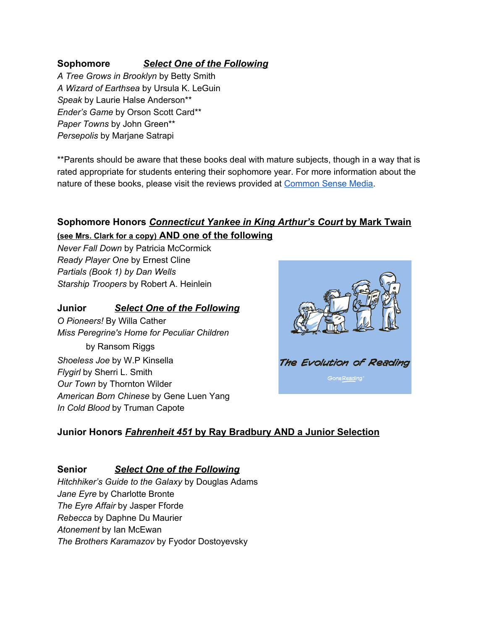#### **Sophomore** *Select One of the Following*

*A Tree Grows in Brooklyn* by Betty Smith *A Wizard of Earthsea* by Ursula K. LeGuin *Speak* by Laurie Halse Anderson\*\* *Ender's Game* by Orson Scott Card\*\* *Paper Towns* by John Green\*\* *Persepolis* by Marjane Satrapi

\*\*Parents should be aware that these books deal with mature subjects, though in a way that is rated appropriate for students entering their sophomore year. For more information about the nature of these books, please visit the reviews provided at [Common](https://www.commonsensemedia.org/) Sense Media.

## **Sophomore Honors** *Connecticut Yankee in King Arthur's Court* **by Mark Twain (see Mrs. Clark for <sup>a</sup> copy)AND one of the following**

*Never Fall Down* by Patricia McCormick *Ready Player One* by Ernest Cline *Partials (Book 1) by Dan Wells Starship Troopers* by Robert A. Heinlein

#### **Junior** *Select One of the Following*

*O Pioneers!* By Willa Cather *Miss Peregrine's Home for Peculiar Children* by Ransom Riggs *Shoeless Joe* by W.P Kinsella *Flygirl* by Sherri L. Smith *Our Town* by Thornton Wilder *American Born Chinese* by Gene Luen Yang *In Cold Blood* by Truman Capote



#### **Junior Honors** *Fahrenheit 451***by Ray Bradbury AND a Junior Selection**

#### **Senior** *Select One of the Following*

*Hitchhiker's Guide to the Galaxy* by Douglas Adams *Jane Eyre* by Charlotte Bronte *The Eyre Affair* by Jasper Fforde *Rebecca* by Daphne Du Maurier *Atonement* by Ian McEwan *The Brothers Karamazov* by Fyodor Dostoyevsky